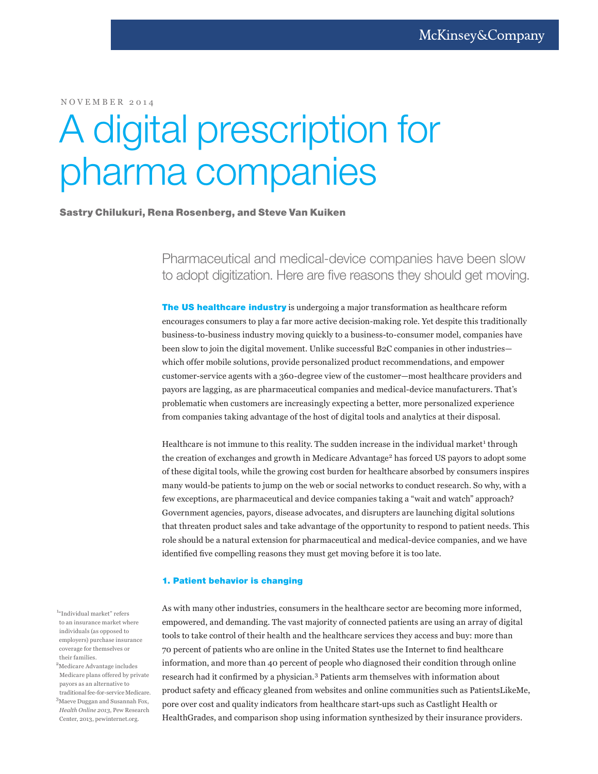NOVEMBER 2014

# A digital prescription for pharma companies

# Sastry Chilukuri, Rena Rosenberg, and Steve Van Kuiken

Pharmaceutical and medical-device companies have been slow to adopt digitization. Here are five reasons they should get moving.

**The US healthcare industry** is undergoing a major transformation as healthcare reform encourages consumers to play a far more active decision-making role. Yet despite this traditionally business-to-business industry moving quickly to a business-to-consumer model, companies have been slow to join the digital movement. Unlike successful B2C companies in other industries which offer mobile solutions, provide personalized product recommendations, and empower customer-service agents with a 360-degree view of the customer—most healthcare providers and payors are lagging, as are pharmaceutical companies and medical-device manufacturers. That's problematic when customers are increasingly expecting a better, more personalized experience from companies taking advantage of the host of digital tools and analytics at their disposal.

Healthcare is not immune to this reality. The sudden increase in the individual market<sup>1</sup> through the creation of exchanges and growth in Medicare Advantage<sup>2</sup> has forced US payors to adopt some of these digital tools, while the growing cost burden for healthcare absorbed by consumers inspires many would-be patients to jump on the web or social networks to conduct research. So why, with a few exceptions, are pharmaceutical and device companies taking a "wait and watch" approach? Government agencies, payors, disease advocates, and disrupters are launching digital solutions that threaten product sales and take advantage of the opportunity to respond to patient needs. This role should be a natural extension for pharmaceutical and medical-device companies, and we have identified five compelling reasons they must get moving before it is too late.

# 1. Patient behavior is changing

As with many other industries, consumers in the healthcare sector are becoming more informed, empowered, and demanding. The vast majority of connected patients are using an array of digital tools to take control of their health and the healthcare services they access and buy: more than 70 percent of patients who are online in the United States use the Internet to find healthcare information, and more than 40 percent of people who diagnosed their condition through online research had it confirmed by a physician.3 Patients arm themselves with information about product safety and efficacy gleaned from websites and online communities such as PatientsLikeMe, pore over cost and quality indicators from healthcare start-ups such as Castlight Health or HealthGrades, and comparison shop using information synthesized by their insurance providers.

 $\rm ^{1a}$ Individual market" refers to an insurance market where individuals (as opposed to employers) purchase insurance coverage for themselves or their families.

- 2 Medicare Advantage includes Medicare plans offered by private payors as an alternative to traditional fee-for-service Medicare.
- 3 Maeve Duggan and Susannah Fox, *Health Online 2013*, Pew Research

Center, 2013, pewinternet.org.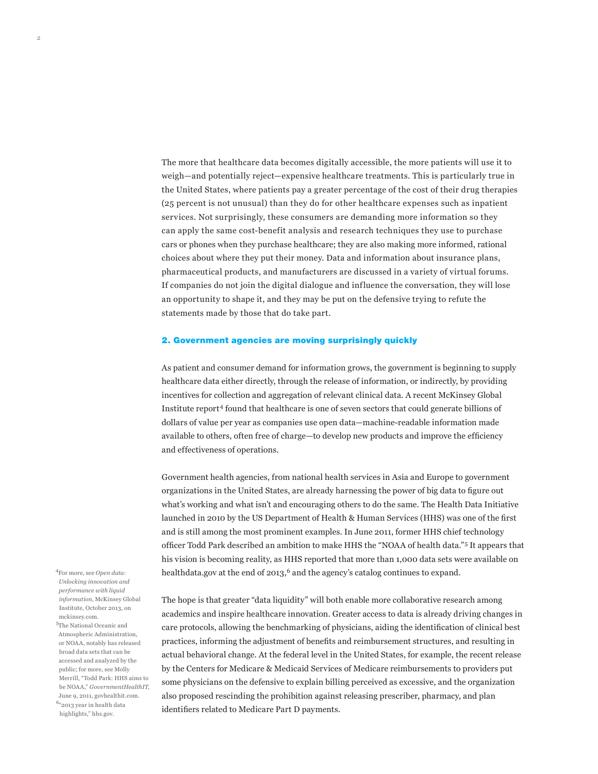The more that healthcare data becomes digitally accessible, the more patients will use it to weigh—and potentially reject—expensive healthcare treatments. This is particularly true in the United States, where patients pay a greater percentage of the cost of their drug therapies (25 percent is not unusual) than they do for other healthcare expenses such as inpatient services. Not surprisingly, these consumers are demanding more information so they can apply the same cost-benefit analysis and research techniques they use to purchase cars or phones when they purchase healthcare; they are also making more informed, rational choices about where they put their money. Data and information about insurance plans, pharmaceutical products, and manufacturers are discussed in a variety of virtual forums. If companies do not join the digital dialogue and influence the conversation, they will lose an opportunity to shape it, and they may be put on the defensive trying to refute the statements made by those that do take part.

## 2. Government agencies are moving surprisingly quickly

As patient and consumer demand for information grows, the government is beginning to supply healthcare data either directly, through the release of information, or indirectly, by providing incentives for collection and aggregation of relevant clinical data. A recent McKinsey Global Institute report4 found that healthcare is one of seven sectors that could generate billions of dollars of value per year as companies use open data—machine-readable information made available to others, often free of charge—to develop new products and improve the efficiency and effectiveness of operations.

Government health agencies, from national health services in Asia and Europe to government organizations in the United States, are already harnessing the power of big data to figure out what's working and what isn't and encouraging others to do the same. The Health Data Initiative launched in 2010 by the US Department of Health & Human Services (HHS) was one of the first and is still among the most prominent examples. In June 2011, former HHS chief technology officer Todd Park described an ambition to make HHS the "NOAA of health data."5 It appears that his vision is becoming reality, as HHS reported that more than 1,000 data sets were available on healthdata.gov at the end of  $2013<sup>6</sup>$  and the agency's catalog continues to expand.

The hope is that greater "data liquidity" will both enable more collaborative research among academics and inspire healthcare innovation. Greater access to data is already driving changes in care protocols, allowing the benchmarking of physicians, aiding the identification of clinical best practices, informing the adjustment of benefits and reimbursement structures, and resulting in actual behavioral change. At the federal level in the United States, for example, the recent release by the Centers for Medicare & Medicaid Services of Medicare reimbursements to providers put some physicians on the defensive to explain billing perceived as excessive, and the organization also proposed rescinding the prohibition against releasing prescriber, pharmacy, and plan identifiers related to Medicare Part D payments.

4 For more, see *Open data: Unlocking innovation and performance with liquid information*, McKinsey Global Institute, October 2013, on mckinsey.com. 5 The National Oceanic and Atmospheric Administration,

2

or NOAA, notably has released broad data sets that can be accessed and analyzed by the public; for more, see Molly Merrill, "Todd Park: HHS aims to be NOAA," *GovernmentHealthIT*, June 9, 2011, govhealthit.com. 6 "2013 year in health data highlights," hhs.gov.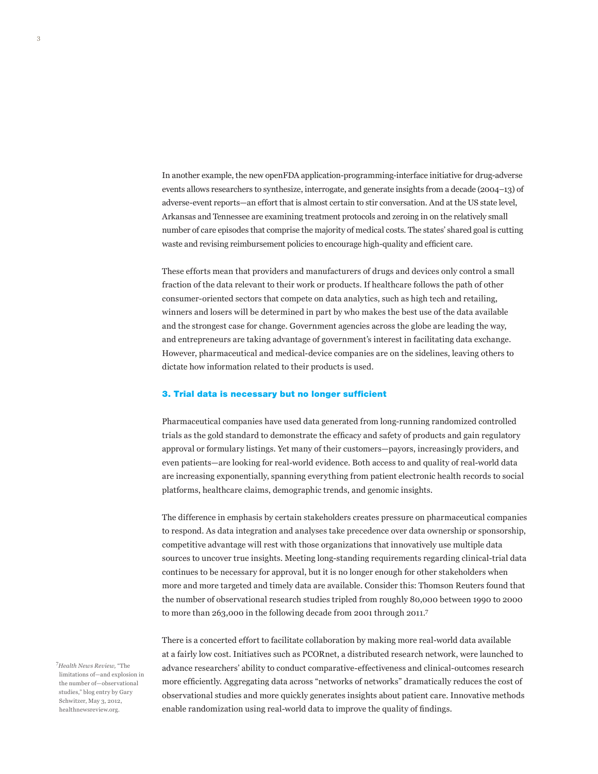In another example, the new openFDA application-programming-interface initiative for drug-adverse events allows researchers to synthesize, interrogate, and generate insights from a decade (2004–13) of adverse-event reports—an effort that is almost certain to stir conversation. And at the US state level, Arkansas and Tennessee are examining treatment protocols and zeroing in on the relatively small number of care episodes that comprise the majority of medical costs. The states' shared goal is cutting waste and revising reimbursement policies to encourage high-quality and efficient care.

These efforts mean that providers and manufacturers of drugs and devices only control a small fraction of the data relevant to their work or products. If healthcare follows the path of other consumer-oriented sectors that compete on data analytics, such as high tech and retailing, winners and losers will be determined in part by who makes the best use of the data available and the strongest case for change. Government agencies across the globe are leading the way, and entrepreneurs are taking advantage of government's interest in facilitating data exchange. However, pharmaceutical and medical-device companies are on the sidelines, leaving others to dictate how information related to their products is used.

#### 3. Trial data is necessary but no longer sufficient

Pharmaceutical companies have used data generated from long-running randomized controlled trials as the gold standard to demonstrate the efficacy and safety of products and gain regulatory approval or formulary listings. Yet many of their customers—payors, increasingly providers, and even patients—are looking for real-world evidence. Both access to and quality of real-world data are increasing exponentially, spanning everything from patient electronic health records to social platforms, healthcare claims, demographic trends, and genomic insights.

The difference in emphasis by certain stakeholders creates pressure on pharmaceutical companies to respond. As data integration and analyses take precedence over data ownership or sponsorship, competitive advantage will rest with those organizations that innovatively use multiple data sources to uncover true insights. Meeting long-standing requirements regarding clinical-trial data continues to be necessary for approval, but it is no longer enough for other stakeholders when more and more targeted and timely data are available. Consider this: Thomson Reuters found that the number of observational research studies tripled from roughly 80,000 between 1990 to 2000 to more than 263,000 in the following decade from 2001 through 2011.7

There is a concerted effort to facilitate collaboration by making more real-world data available at a fairly low cost. Initiatives such as PCORnet, a distributed research network, were launched to advance researchers' ability to conduct comparative-effectiveness and clinical-outcomes research more efficiently. Aggregating data across "networks of networks" dramatically reduces the cost of observational studies and more quickly generates insights about patient care. Innovative methods enable randomization using real-world data to improve the quality of findings.

7 *Health News Review,* "The limitations of—and explosion in the number of—observational studies," blog entry by Gary Schwitzer, May 3, 2012, healthnewsreview.org.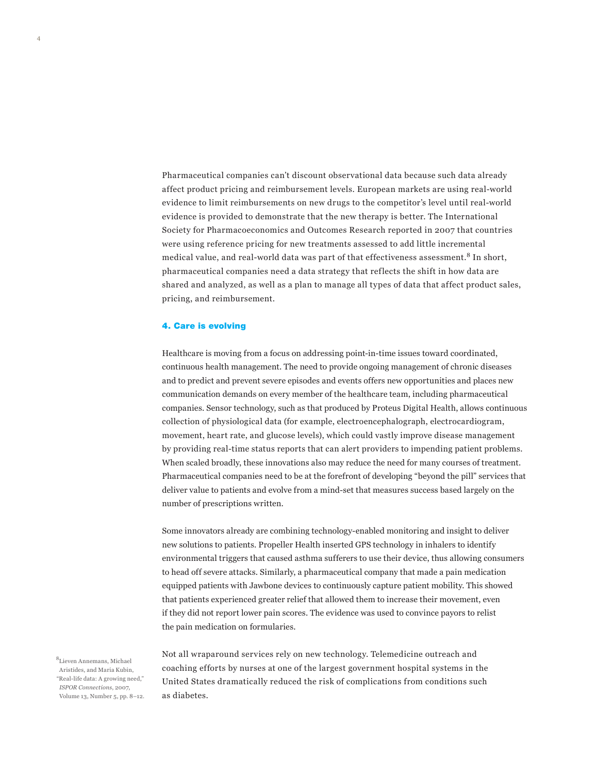Pharmaceutical companies can't discount observational data because such data already affect product pricing and reimbursement levels. European markets are using real-world evidence to limit reimbursements on new drugs to the competitor's level until real-world evidence is provided to demonstrate that the new therapy is better. The International Society for Pharmacoeconomics and Outcomes Research reported in 2007 that countries were using reference pricing for new treatments assessed to add little incremental medical value, and real-world data was part of that effectiveness assessment.<sup>8</sup> In short, pharmaceutical companies need a data strategy that reflects the shift in how data are shared and analyzed, as well as a plan to manage all types of data that affect product sales, pricing, and reimbursement.

### 4. Care is evolving

Healthcare is moving from a focus on addressing point-in-time issues toward coordinated, continuous health management. The need to provide ongoing management of chronic diseases and to predict and prevent severe episodes and events offers new opportunities and places new communication demands on every member of the healthcare team, including pharmaceutical companies. Sensor technology, such as that produced by Proteus Digital Health, allows continuous collection of physiological data (for example, electroencephalograph, electrocardiogram, movement, heart rate, and glucose levels), which could vastly improve disease management by providing real-time status reports that can alert providers to impending patient problems. When scaled broadly, these innovations also may reduce the need for many courses of treatment. Pharmaceutical companies need to be at the forefront of developing "beyond the pill" services that deliver value to patients and evolve from a mind-set that measures success based largely on the number of prescriptions written.

Some innovators already are combining technology-enabled monitoring and insight to deliver new solutions to patients. Propeller Health inserted GPS technology in inhalers to identify environmental triggers that caused asthma sufferers to use their device, thus allowing consumers to head off severe attacks. Similarly, a pharmaceutical company that made a pain medication equipped patients with Jawbone devices to continuously capture patient mobility. This showed that patients experienced greater relief that allowed them to increase their movement, even if they did not report lower pain scores. The evidence was used to convince payors to relist the pain medication on formularies.

8 Lieven Annemans, Michael Aristides, and Maria Kubin, "Real-life data: A growing need," *ISPOR Connections*, 2007, Volume 13, Number 5, pp. 8–12. Not all wraparound services rely on new technology. Telemedicine outreach and coaching efforts by nurses at one of the largest government hospital systems in the United States dramatically reduced the risk of complications from conditions such as diabetes.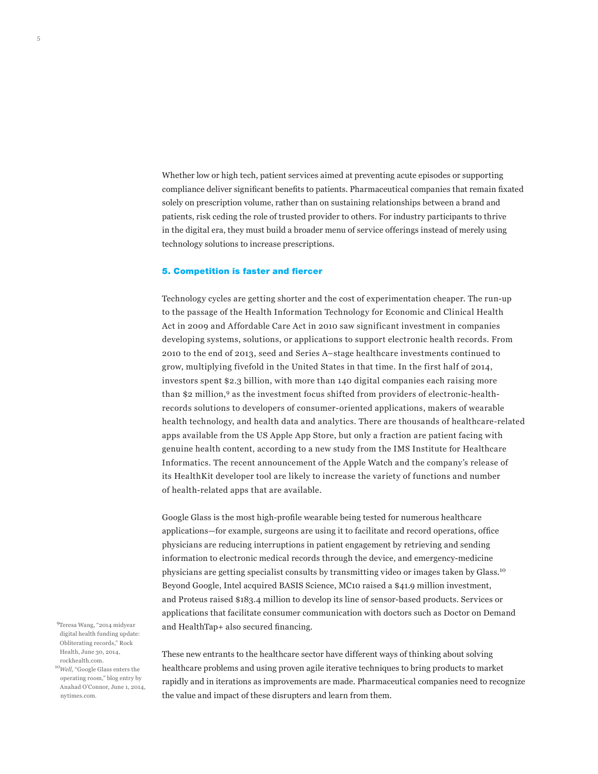Whether low or high tech, patient services aimed at preventing acute episodes or supporting compliance deliver significant benefits to patients. Pharmaceutical companies that remain fixated solely on prescription volume, rather than on sustaining relationships between a brand and patients, risk ceding the role of trusted provider to others. For industry participants to thrive in the digital era, they must build a broader menu of service offerings instead of merely using technology solutions to increase prescriptions.

#### 5. Competition is faster and fiercer

Technology cycles are getting shorter and the cost of experimentation cheaper. The run-up to the passage of the Health Information Technology for Economic and Clinical Health Act in 2009 and Affordable Care Act in 2010 saw significant investment in companies developing systems, solutions, or applications to support electronic health records. From 2010 to the end of 2013, seed and Series A–stage healthcare investments continued to grow, multiplying fivefold in the United States in that time. In the first half of 2014, investors spent \$2.3 billion, with more than 140 digital companies each raising more than \$2 million,<sup>9</sup> as the investment focus shifted from providers of electronic-healthrecords solutions to developers of consumer-oriented applications, makers of wearable health technology, and health data and analytics. There are thousands of healthcare-related apps available from the US Apple App Store, but only a fraction are patient facing with genuine health content, according to a new study from the IMS Institute for Healthcare Informatics. The recent announcement of the Apple Watch and the company's release of its HealthKit developer tool are likely to increase the variety of functions and number of health-related apps that are available.

Google Glass is the most high-profile wearable being tested for numerous healthcare applications—for example, surgeons are using it to facilitate and record operations, office physicians are reducing interruptions in patient engagement by retrieving and sending information to electronic medical records through the device, and emergency-medicine physicians are getting specialist consults by transmitting video or images taken by Glass.<sup>10</sup> Beyond Google, Intel acquired BASIS Science, MC10 raised a \$41.9 million investment, and Proteus raised \$183.4 million to develop its line of sensor-based products. Services or applications that facilitate consumer communication with doctors such as Doctor on Demand and HealthTap+ also secured financing.

 9Teresa Wang, "2014 midyear digital health funding update: Obliterating records," Rock Health, June 30, 2014, rockhealth.com.

<sup>10</sup>*Well,* "Google Glass enters the operating room," blog entry by Anahad O'Connor, June 1, 2014, nytimes.com.

These new entrants to the healthcare sector have different ways of thinking about solving healthcare problems and using proven agile iterative techniques to bring products to market rapidly and in iterations as improvements are made. Pharmaceutical companies need to recognize the value and impact of these disrupters and learn from them.